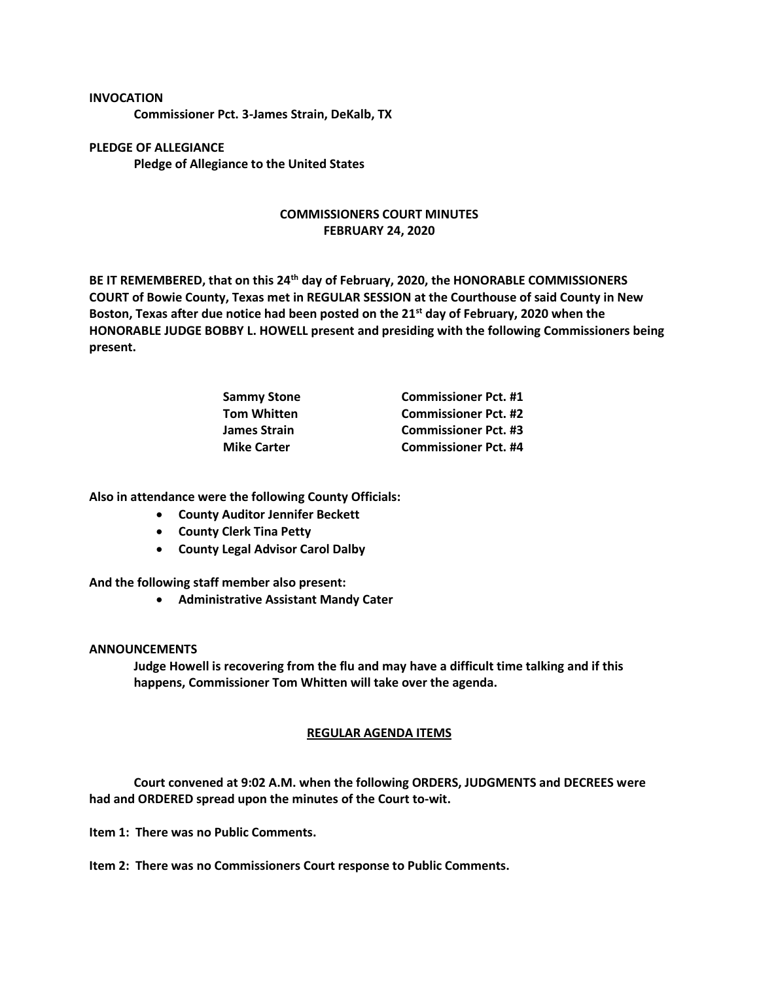## **INVOCATION**

**Commissioner Pct. 3-James Strain, DeKalb, TX**

**PLEDGE OF ALLEGIANCE Pledge of Allegiance to the United States**

## **COMMISSIONERS COURT MINUTES FEBRUARY 24, 2020**

**BE IT REMEMBERED, that on this 24th day of February, 2020, the HONORABLE COMMISSIONERS COURT of Bowie County, Texas met in REGULAR SESSION at the Courthouse of said County in New Boston, Texas after due notice had been posted on the 21st day of February, 2020 when the HONORABLE JUDGE BOBBY L. HOWELL present and presiding with the following Commissioners being present.**

| <b>Commissioner Pct. #1</b> |
|-----------------------------|
| <b>Commissioner Pct. #2</b> |
| <b>Commissioner Pct. #3</b> |
| <b>Commissioner Pct. #4</b> |
|                             |

**Also in attendance were the following County Officials:**

- **County Auditor Jennifer Beckett**
- **County Clerk Tina Petty**
- **County Legal Advisor Carol Dalby**

**And the following staff member also present:**

• **Administrative Assistant Mandy Cater**

## **ANNOUNCEMENTS**

**Judge Howell is recovering from the flu and may have a difficult time talking and if this happens, Commissioner Tom Whitten will take over the agenda.**

## **REGULAR AGENDA ITEMS**

**Court convened at 9:02 A.M. when the following ORDERS, JUDGMENTS and DECREES were had and ORDERED spread upon the minutes of the Court to-wit.**

**Item 1: There was no Public Comments.**

**Item 2: There was no Commissioners Court response to Public Comments.**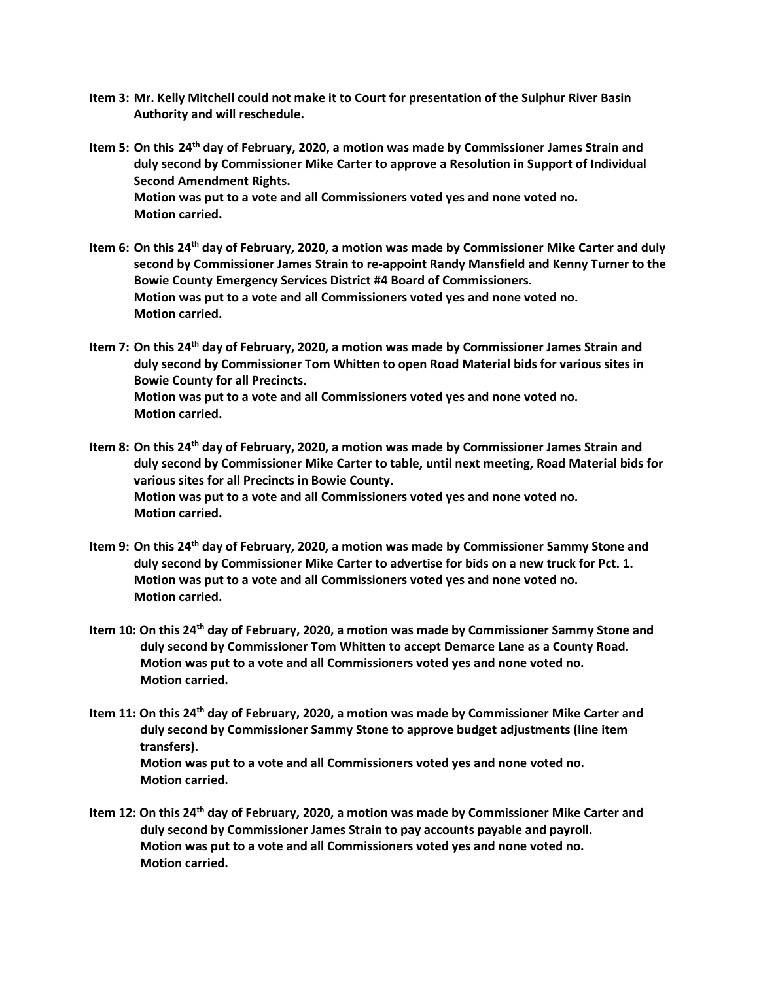- **Item 3: Mr. Kelly Mitchell could not make it to Court for presentation of the Sulphur River Basin Authority and will reschedule.**
- **Item 5: On this 24th day of February, 2020, a motion was made by Commissioner James Strain and duly second by Commissioner Mike Carter to approve a Resolution in Support of Individual Second Amendment Rights. Motion was put to a vote and all Commissioners voted yes and none voted no. Motion carried.**
- **Item 6: On this 24th day of February, 2020, a motion was made by Commissioner Mike Carter and duly second by Commissioner James Strain to re-appoint Randy Mansfield and Kenny Turner to the Bowie County Emergency Services District #4 Board of Commissioners. Motion was put to a vote and all Commissioners voted yes and none voted no. Motion carried.**
- **Item 7: On this 24th day of February, 2020, a motion was made by Commissioner James Strain and duly second by Commissioner Tom Whitten to open Road Material bids for various sites in Bowie County for all Precincts. Motion was put to a vote and all Commissioners voted yes and none voted no. Motion carried.**
- **Item 8: On this 24th day of February, 2020, a motion was made by Commissioner James Strain and duly second by Commissioner Mike Carter to table, until next meeting, Road Material bids for various sites for all Precincts in Bowie County. Motion was put to a vote and all Commissioners voted yes and none voted no. Motion carried.**
- **Item 9: On this 24th day of February, 2020, a motion was made by Commissioner Sammy Stone and duly second by Commissioner Mike Carter to advertise for bids on a new truck for Pct. 1. Motion was put to a vote and all Commissioners voted yes and none voted no. Motion carried.**
- **Item 10: On this 24th day of February, 2020, a motion was made by Commissioner Sammy Stone and duly second by Commissioner Tom Whitten to accept Demarce Lane as a County Road. Motion was put to a vote and all Commissioners voted yes and none voted no. Motion carried.**
- **Item 11: On this 24th day of February, 2020, a motion was made by Commissioner Mike Carter and duly second by Commissioner Sammy Stone to approve budget adjustments (line item transfers). Motion was put to a vote and all Commissioners voted yes and none voted no. Motion carried.**
- **Item 12: On this 24th day of February, 2020, a motion was made by Commissioner Mike Carter and duly second by Commissioner James Strain to pay accounts payable and payroll. Motion was put to a vote and all Commissioners voted yes and none voted no. Motion carried.**